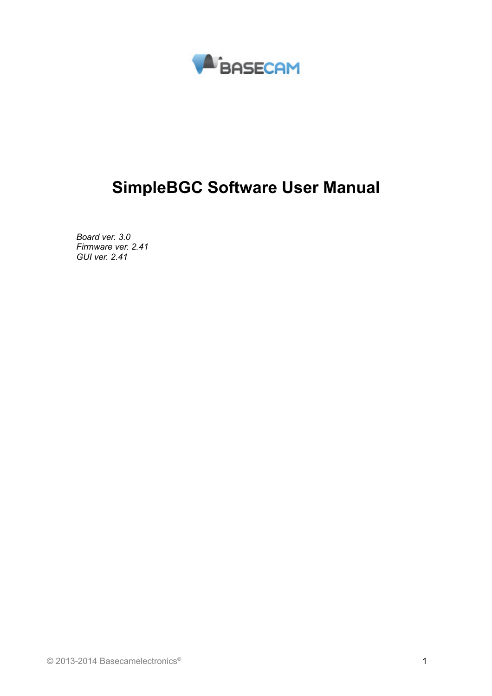

# **SimpleBGC Software User Manual**

*Board ver. 3.0 Firmware ver. 2.41 GUI ver. 2.41*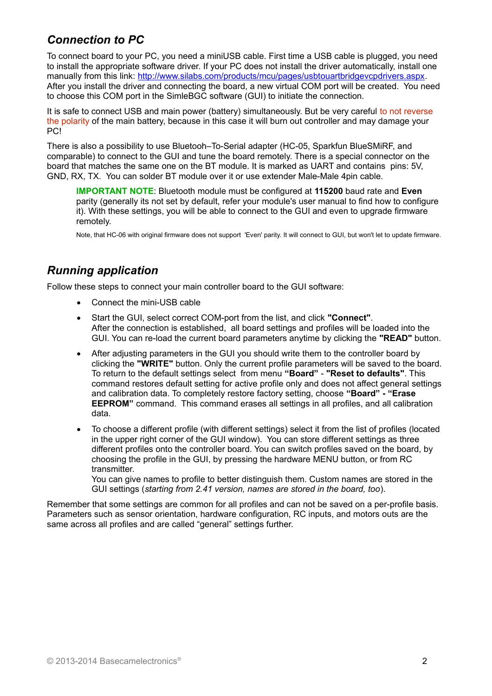## *Connection to PC*

To connect board to your PC, you need a miniUSB cable. First time a USB cable is plugged, you need to install the appropriate software driver. If your PC does not install the driver automatically, install one manually from this link: [http://www.silabs.com/products/mcu/pages/usbtouartbridgevcpdrivers.aspx.](http://www.silabs.com/products/mcu/pages/usbtouartbridgevcpdrivers.aspx) After you install the driver and connecting the board, a new virtual COM port will be created. You need to choose this COM port in the SimleBGC software (GUI) to initiate the connection.

It is safe to connect USB and main power (battery) simultaneously. But be very careful to not reverse the polarity of the main battery, because in this case it will burn out controller and may damage your PC!

There is also a possibility to use Bluetooh–To-Serial adapter (HC-05, Sparkfun BlueSMiRF, and comparable) to connect to the GUI and tune the board remotely. There is a special connector on the board that matches the same one on the BT module. It is marked as UART and contains pins: 5V, GND, RX, TX. You can solder BT module over it or use extender Male-Male 4pin cable.

**IMPORTANT NOTE**: Bluetooth module must be configured at **115200** baud rate and **Even** parity (generally its not set by default, refer your module's user manual to find how to configure it). With these settings, you will be able to connect to the GUI and even to upgrade firmware remotely.

Note, that HC-06 with original firmware does not support 'Even' parity. It will connect to GUI, but won't let to update firmware.

### *Running application*

Follow these steps to connect your main controller board to the GUI software:

- Connect the mini-USB cable
- Start the GUI, select correct COM-port from the list, and click **"Connect"**. After the connection is established, all board settings and profiles will be loaded into the GUI. You can re-load the current board parameters anytime by clicking the **"READ"** button.
- After adjusting parameters in the GUI you should write them to the controller board by clicking the **"WRITE"** button. Only the current profile parameters will be saved to the board. To return to the default settings select from menu **"Board"** - **"Reset to defaults"**. This command restores default setting for active profile only and does not affect general settings and calibration data. To completely restore factory setting, choose **"Board" - "Erase EEPROM"** command. This command erases all settings in all profiles, and all calibration data.
- To choose a different profile (with different settings) select it from the list of profiles (located in the upper right corner of the GUI window). You can store different settings as three different profiles onto the controller board. You can switch profiles saved on the board, by choosing the profile in the GUI, by pressing the hardware MENU button, or from RC transmitter

You can give names to profile to better distinguish them. Custom names are stored in the GUI settings (*starting from 2.41 version, names are stored in the board, too*).

Remember that some settings are common for all profiles and can not be saved on a per-profile basis. Parameters such as sensor orientation, hardware configuration, RC inputs, and motors outs are the same across all profiles and are called "general" settings further.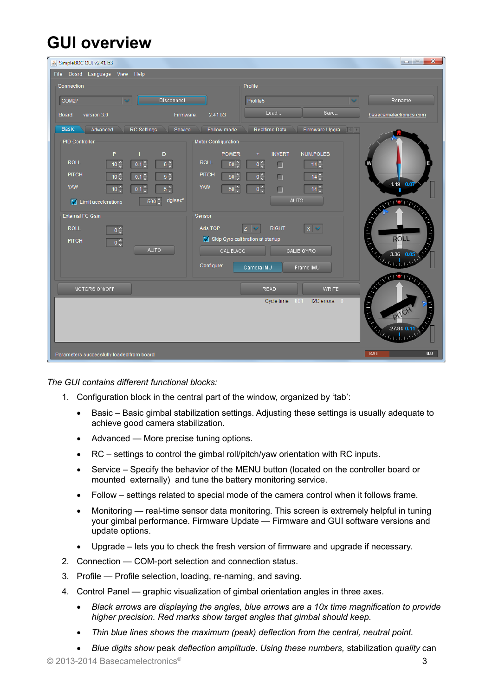# **GUI overview**

| SimpleBGC GUI v2.41 b3                                                                                      |                                           |                                      |                         | $\overline{\mathbf{x}}$<br>$\qquad \qquad \Box$ |
|-------------------------------------------------------------------------------------------------------------|-------------------------------------------|--------------------------------------|-------------------------|-------------------------------------------------|
| View Help<br>File Board Language                                                                            |                                           |                                      |                         |                                                 |
| Connection                                                                                                  |                                           | Profile                              |                         |                                                 |
| COM27<br>Disconnect<br>$\checkmark$                                                                         |                                           | Profile5                             |                         | Rename                                          |
| version 3.0<br>Board:<br>Firmware:                                                                          | 2.41 b3                                   | Load                                 | Save                    | basecamelectronics.com                          |
| <b>Basic</b><br><b>RC</b> Settings<br>Advanced<br>Service<br>Follow mode<br>Realtime Data<br>Firmware Upgra |                                           |                                      |                         |                                                 |
| <b>PID Controller</b>                                                                                       | <b>Motor Configuration</b>                |                                      |                         |                                                 |
| P<br>D<br><b>ROLL</b><br>0.1 <sup>o</sup><br>$5\frac{1}{x}$<br>$10^\circ$                                   | <b>POWER</b><br><b>ROLL</b><br>$50^\circ$ | <b>INVERT</b><br>$0\frac{1}{2}$<br>п | NUM.POLES<br>$14^\circ$ |                                                 |
| <b>PITCH</b><br>$0.1\frac{6}{9}$<br>$5\frac{1}{2}$<br>$10^{\circ}$                                          | <b>PITCH</b><br>50 <sub>1</sub>           | $0\frac{1}{2}$<br>□                  | $14^\circ$              |                                                 |
| YAW<br>0.1 <sup>2</sup><br>$5\frac{1}{x}$<br>$10^\circ$                                                     | YAW<br>$50^\circ$                         | $0\frac{1}{2}$<br>П                  | $14^\circ$              | $-1.19$ 0.07                                    |
| dg/sec <sup>2</sup><br>$500^\circ$<br>Init accelerations                                                    |                                           | AUTO                                 |                         | <b>THE REAL PROPERTY</b>                        |
| <b>External FC Gain</b>                                                                                     | Sensor                                    |                                      |                         |                                                 |
| <b>ROLL</b><br>$0\frac{1}{2}$                                                                               | Axis TOP                                  | <b>RIGHT</b><br>$\mathsf{x}$<br>z    |                         | $J$ , $J$ , $J$                                 |
| <b>PITCH</b><br>$0\frac{1}{2}$                                                                              |                                           | Skip Gyro calibration at startup     |                         | <b>ROLL</b>                                     |
| <b>AUTO</b>                                                                                                 | CALIB.ACC                                 | CALIB.GYRO                           |                         | $-3.36$ 0.05                                    |
|                                                                                                             | Configure:                                | Frame IMU<br>Camera IMU              |                         |                                                 |
| MOTORS ON/OFF                                                                                               |                                           | <b>READ</b>                          | <b>WRITE</b>            | <b>OFFICE TO</b>                                |
|                                                                                                             |                                           | Cycle time:<br>801                   | I2C errors: 0           | array.                                          |
|                                                                                                             |                                           |                                      |                         |                                                 |
|                                                                                                             |                                           |                                      |                         | $-27.84$ 0.                                     |
| Parameters successfully loaded from board.                                                                  |                                           |                                      |                         | <b>BAT</b><br>$0.0\,$                           |

*The GUI contains different functional blocks:*

- 1. Configuration block in the central part of the window, organized by 'tab':
	- Basic Basic gimbal stabilization settings. Adjusting these settings is usually adequate to achieve good camera stabilization.
	- Advanced More precise tuning options.
	- RC settings to control the gimbal roll/pitch/yaw orientation with RC inputs.
	- Service Specify the behavior of the MENU button (located on the controller board or mounted externally) and tune the battery monitoring service.
	- Follow settings related to special mode of the camera control when it follows frame.
	- Monitoring real-time sensor data monitoring. This screen is extremely helpful in tuning your gimbal performance. Firmware Update — Firmware and GUI software versions and update options.
	- Upgrade lets you to check the fresh version of firmware and upgrade if necessary.
- 2. Connection COM-port selection and connection status.
- 3. Profile Profile selection, loading, re-naming, and saving.
- 4. Control Panel graphic visualization of gimbal orientation angles in three axes.
	- *Black arrows are displaying the angles, blue arrows are a 10x time magnification to provide higher precision. Red marks show target angles that gimbal should keep.*
	- *Thin blue lines shows the maximum (peak) deflection from the central, neutral point.*
	- *Blue digits show* peak *deflection amplitude. Using these numbers,* stabilization *quality* can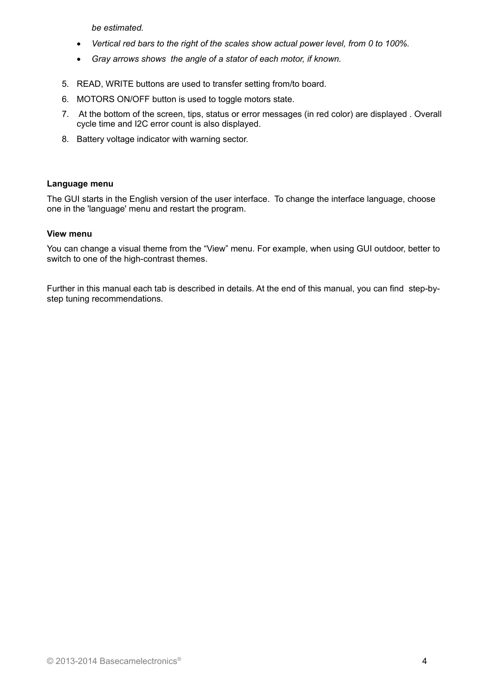*be estimated.*

- *Vertical red bars to the right of the scales show actual power level, from 0 to 100%.*
- *Gray arrows shows the angle of a stator of each motor, if known.*
- 5. READ, WRITE buttons are used to transfer setting from/to board.
- 6. MOTORS ON/OFF button is used to toggle motors state.
- 7. At the bottom of the screen, tips, status or error messages (in red color) are displayed . Overall cycle time and I2C error count is also displayed.
- 8. Battery voltage indicator with warning sector.

#### **Language menu**

The GUI starts in the English version of the user interface. To change the interface language, choose one in the 'language' menu and restart the program.

#### **View menu**

You can change a visual theme from the "View" menu. For example, when using GUI outdoor, better to switch to one of the high-contrast themes.

Further in this manual each tab is described in details. At the end of this manual, you can find step-bystep tuning recommendations.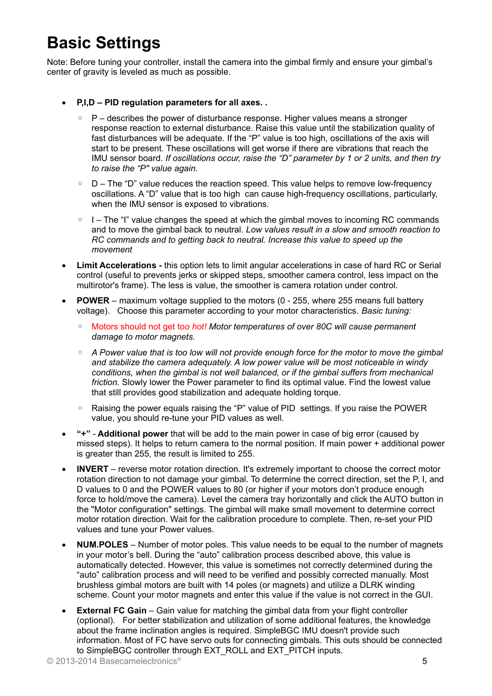# **Basic Settings**

Note: Before tuning your controller, install the camera into the gimbal firmly and ensure your gimbal's center of gravity is leveled as much as possible.

- **P,I,D PID regulation parameters for all axes. .**
	- P describes the power of disturbance response. Higher values means a stronger response reaction to external disturbance. Raise this value until the stabilization quality of fast disturbances will be adequate. If the "P" value is too high, oscillations of the axis will start to be present. These oscillations will get worse if there are vibrations that reach the IMU sensor board. *If oscillations occur, raise the "D" parameter by 1 or 2 units, and then try to raise the "P" value again.*
	- D The "D" value reduces the reaction speed. This value helps to remove low-frequency oscillations. A "D" value that is too high can cause high-frequency oscillations, particularly, when the IMU sensor is exposed to vibrations.
	- I The "I" value changes the speed at which the gimbal moves to incoming RC commands and to move the gimbal back to neutral. *Low values result in a slow and smooth reaction to RC commands and to getting back to neutral. Increase this value to speed up the movement*
- **Limit Accelerations** this option lets to limit angular accelerations in case of hard RC or Serial control (useful to prevents jerks or skipped steps, smoother camera control, less impact on the multirotor's frame). The less is value, the smoother is camera rotation under control.
- **POWER** maximum voltage supplied to the motors (0 255, where 255 means full battery voltage). Choose this parameter according to your motor characteristics. *Basic tuning:*
	- Motors should not get to*o hot! Motor temperatures of over 80С will cause permanent damage to motor magnets.*
	- *A Power value that is too low will not provide enough force for the motor to move the gimbal and stabilize the camera adequately. A low power value will be most noticeable in windy conditions, when the gimbal is not well balanced, or if the gimbal suffers from mechanical friction.* Slowly lower the Power parameter to find its optimal value. Find the lowest value that still provides good stabilization and adequate holding torque.
	- Raising the power equals raising the "P" value of PID settings. If you raise the POWER value, you should re-tune your PID values as well.
- **"+" Additional power** that will be add to the main power in case of big error (caused by missed steps). It helps to return camera to the normal position. If main power + additional power is greater than 255, the result is limited to 255.
- **INVERT** reverse motor rotation direction. It's extremely important to choose the correct motor rotation direction to not damage your gimbal. To determine the correct direction, set the P, I, and D values to 0 and the POWER values to 80 (or higher if your motors don't produce enough force to hold/move the camera). Level the camera tray horizontally and click the AUTO button in the "Motor configuration" settings. The gimbal will make small movement to determine correct motor rotation direction. Wait for the calibration procedure to complete. Then, re-set your PID values and tune your Power values.
- **NUM.POLES** Number of motor poles. This value needs to be equal to the number of magnets in your motor's bell. During the "auto" calibration process described above, this value is automatically detected. However, this value is sometimes not correctly determined during the "auto" calibration process and will need to be verified and possibly corrected manually. Most brushless gimbal motors are built with 14 poles (or magnets) and utilize a DLRK winding scheme. Count your motor magnets and enter this value if the value is not correct in the GUI.
- **External FC Gain** Gain value for matching the gimbal data from your flight controller (optional). For better stabilization and utilization of some additional features, the knowledge about the frame inclination angles is required. SimpleBGC IMU doesn't provide such information. Most of FC have servo outs for connecting gimbals. This outs should be connected to SimpleBGC controller through EXT\_ROLL and EXT\_PITCH inputs.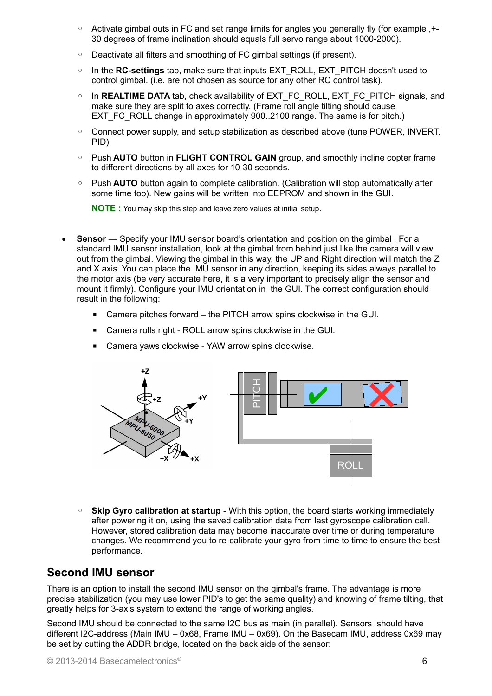- Activate gimbal outs in FC and set range limits for angles you generally fly (for example ,+- 30 degrees of frame inclination should equals full servo range about 1000-2000).
- Deactivate all filters and smoothing of FC gimbal settings (if present).
- In the **RC-settings** tab, make sure that inputs EXT\_ROLL, EXT\_PITCH doesn't used to control gimbal. (i.e. are not chosen as source for any other RC control task).
- In **REALTIME DATA** tab, check availability of EXT\_FC\_ROLL, EXT\_FC\_PITCH signals, and make sure they are split to axes correctly. (Frame roll angle tilting should cause EXT\_FC\_ROLL change in approximately 900..2100 range. The same is for pitch.)
- Connect power supply, and setup stabilization as described above (tune POWER, INVERT, PID)
- Push **AUTO** button in **FLIGHT CONTROL GAIN** group, and smoothly incline copter frame to different directions by all axes for 10-30 seconds.
- Push **AUTO** button again to complete calibration. (Calibration will stop automatically after some time too). New gains will be written into EEPROM and shown in the GUI.

**NOTE :** You may skip this step and leave zero values at initial setup.

- **Sensor** Specify your IMU sensor board's orientation and position on the gimbal . For a standard IMU sensor installation, look at the gimbal from behind just like the camera will view out from the gimbal. Viewing the gimbal in this way, the UP and Right direction will match the Z and X axis. You can place the IMU sensor in any direction, keeping its sides always parallel to the motor axis (be very accurate here, it is a very important to precisely align the sensor and mount it firmly). Configure your IMU orientation in the GUI. The correct configuration should result in the following:
	- Camera pitches forward the PITCH arrow spins clockwise in the GUI.
	- Camera rolls right ROLL arrow spins clockwise in the GUI.
	- Camera yaws clockwise YAW arrow spins clockwise.



◦ **Skip Gyro calibration at startup** - With this option, the board starts working immediately after powering it on, using the saved calibration data from last gyroscope calibration call. However, stored calibration data may become inaccurate over time or during temperature changes. We recommend you to re-calibrate your gyro from time to time to ensure the best performance.

### <span id="page-5-0"></span>**Second IMU sensor**

There is an option to install the second IMU sensor on the gimbal's frame. The advantage is more precise stabilization (you may use lower PID's to get the same quality) and knowing of frame tilting, that greatly helps for 3-axis system to extend the range of working angles.

Second IMU should be connected to the same I2C bus as main (in parallel). Sensors should have different I2C-address (Main IMU – 0x68, Frame IMU – 0x69). On the Basecam IMU, address 0x69 may be set by cutting the ADDR bridge, located on the back side of the sensor: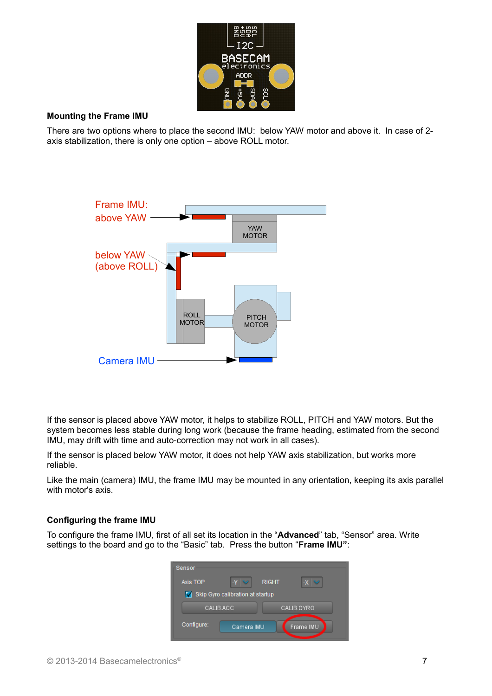

#### **Mounting the Frame IMU**

There are two options where to place the second IMU: below YAW motor and above it. In case of 2 axis stabilization, there is only one option – above ROLL motor.



If the sensor is placed above YAW motor, it helps to stabilize ROLL, PITCH and YAW motors. But the system becomes less stable during long work (because the frame heading, estimated from the second IMU, may drift with time and auto-correction may not work in all cases).

If the sensor is placed below YAW motor, it does not help YAW axis stabilization, but works more reliable.

Like the main (camera) IMU, the frame IMU may be mounted in any orientation, keeping its axis parallel with motor's axis.

#### **Configuring the frame IMU**

To configure the frame IMU, first of all set its location in the "**Advanced**" tab, "Sensor" area. Write settings to the board and go to the "Basic" tab. Press the button "**Frame IMU"**:

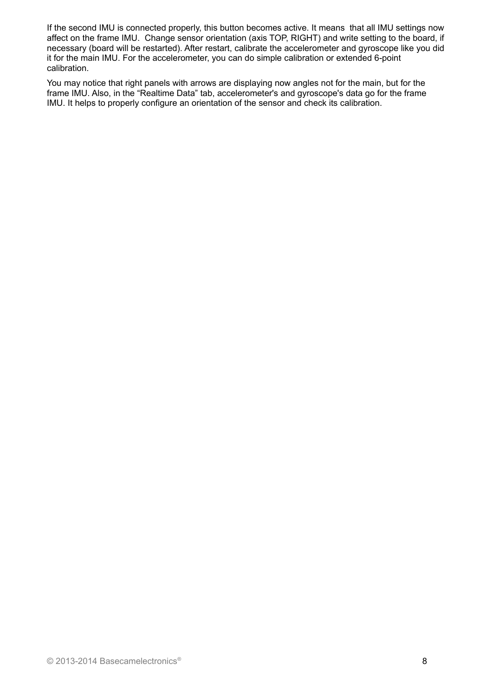If the second IMU is connected properly, this button becomes active. It means that all IMU settings now affect on the frame IMU. Change sensor orientation (axis TOP, RIGHT) and write setting to the board, if necessary (board will be restarted). After restart, calibrate the accelerometer and gyroscope like you did it for the main IMU. For the accelerometer, you can do simple calibration or extended 6-point calibration.

You may notice that right panels with arrows are displaying now angles not for the main, but for the frame IMU. Also, in the "Realtime Data" tab, accelerometer's and gyroscope's data go for the frame IMU. It helps to properly configure an orientation of the sensor and check its calibration.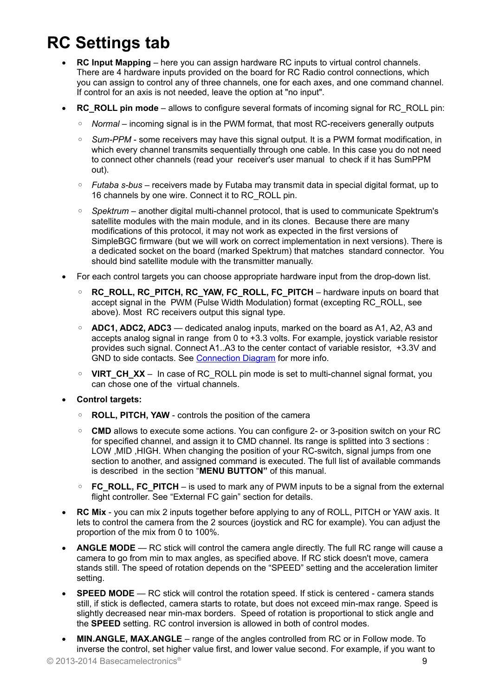# **RC Settings tab**

- **RC Input Mapping**  here you can assign hardware RC inputs to virtual control channels. There are 4 hardware inputs provided on the board for RC Radio control connections, which you can assign to control any of three channels, one for each axes, and one command channel. If control for an axis is not needed, leave the option at "no input".
- **RC\_ROLL pin mode** allows to configure several formats of incoming signal for RC\_ROLL pin:
	- *Normal* incoming signal is in the PWM format, that most RC-receivers generally outputs
	- *Sum-PPM* some receivers may have this signal output. It is a PWM format modification, in which every channel transmits sequentially through one cable. In this case you do not need to connect other channels (read your receiver's user manual to check if it has SumPPM out).
	- *Futaba s-bus* receivers made by Futaba may transmit data in special digital format, up to 16 channels by one wire. Connect it to RC\_ROLL pin.
	- *Spektrum* another digital multi-channel protocol, that is used to communicate Spektrum's satellite modules with the main module, and in its clones. Because there are many modifications of this protocol, it may not work as expected in the first versions of SimpleBGC firmware (but we will work on correct implementation in next versions). There is a dedicated socket on the board (marked Spektrum) that matches standard connector. You should bind satellite module with the transmitter manually.
- For each control targets you can choose appropriate hardware input from the drop-down list.
	- **RC\_ROLL, RC\_PITCH, RC\_YAW, FC\_ROLL, FC\_PITCH** hardware inputs on board that accept signal in the PWM (Pulse Width Modulation) format (excepting RC\_ROLL, see above). Most RC receivers output this signal type.
	- **ADC1, ADC2, ADC3** dedicated analog inputs, marked on the board as A1, A2, A3 and accepts analog signal in range from 0 to +3.3 volts. For example, joystick variable resistor provides such signal. Connect A1..A3 to the center contact of variable resistor, +3.3V and GND to side contacts. See [Connection Diagram](#page-22-0) for more info.
	- **VIRT\_CH\_XX** In case of RC\_ROLL pin mode is set to multi-channel signal format, you can chose one of the virtual channels.
- **Control targets:**
	- **ROLL, PITCH, YAW** controls the position of the camera
	- **CMD** allows to execute some actions. You can configure 2- or 3-position switch on your RC for specified channel, and assign it to CMD channel. Its range is splitted into 3 sections : LOW ,MID ,HIGH. When changing the position of your RC-switch, signal jumps from one section to another, and assigned command is executed. The full list of available commands is described in the section "**MENU BUTTON"** of this manual.
	- **FC\_ROLL, FC\_PITCH** is used to mark any of PWM inputs to be a signal from the external flight controller. See "External FC gain" section for details.
- **RC Mix** you can mix 2 inputs together before applying to any of ROLL, PITCH or YAW axis. It lets to control the camera from the 2 sources (joystick and RC for example). You can adjust the proportion of the mix from 0 to 100%.
- **ANGLE MODE**  RC stick will control the camera angle directly. The full RC range will cause a camera to go from min to max angles, as specified above. If RC stick doesn't move, camera stands still. The speed of rotation depends on the "SPEED" setting and the acceleration limiter setting.
- **SPEED MODE** RC stick will control the rotation speed. If stick is centered camera stands still, if stick is deflected, camera starts to rotate, but does not exceed min-max range. Speed is slightly decreased near min-max borders. Speed of rotation is proportional to stick angle and the **SPEED** setting. RC control inversion is allowed in both of control modes.
- **MIN.ANGLE, MAX.ANGLE** range of the angles controlled from RC or in Follow mode. To inverse the control, set higher value first, and lower value second. For example, if you want to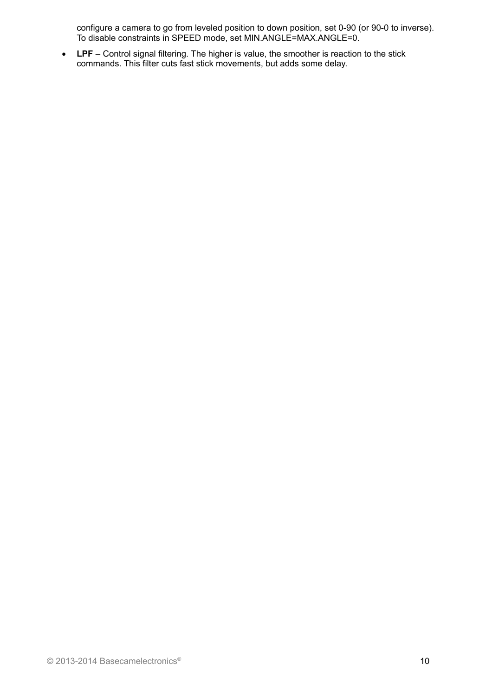configure a camera to go from leveled position to down position, set 0-90 (or 90-0 to inverse). To disable constraints in SPEED mode, set MIN.ANGLE=MAX.ANGLE=0.

 **LPF** – Control signal filtering. The higher is value, the smoother is reaction to the stick commands. This filter cuts fast stick movements, but adds some delay.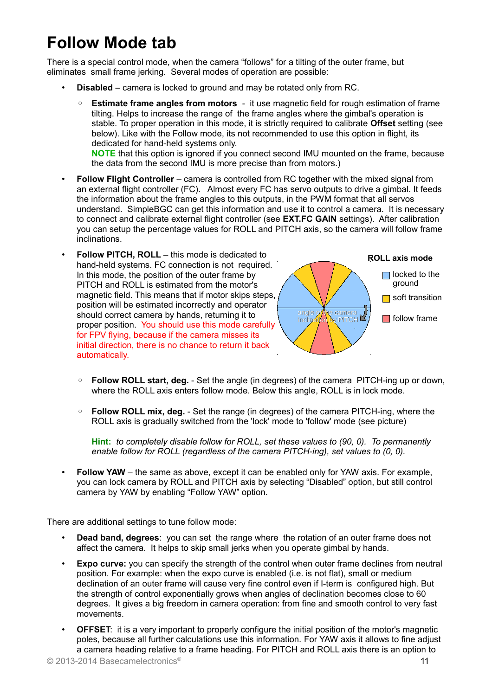# **Follow Mode tab**

There is a special control mode, when the camera "follows" for a tilting of the outer frame, but eliminates small frame jerking. Several modes of operation are possible:

- **Disabled** camera is locked to ground and may be rotated only from RC.
	- **Estimate frame angles from motors** it use magnetic field for rough estimation of frame tilting. Helps to increase the range of the frame angles where the gimbal's operation is stable. To proper operation in this mode, it is strictly required to calibrate **Offset** setting (see below). Like with the Follow mode, its not recommended to use this option in flight, its dedicated for hand-held systems only.

**NOTE** that this option is ignored if you connect second IMU mounted on the frame, because the data from the second IMU is more precise than from motors.)

- **Follow Flight Controller** camera is controlled from RC together with the mixed signal from an external flight controller (FC). Almost every FC has servo outputs to drive a gimbal. It feeds the information about the frame angles to this outputs, in the PWM format that all servos understand. SimpleBGC can get this information and use it to control a camera. It is necessary to connect and calibrate external flight controller (see **EXT.FC GAIN** settings). After calibration you can setup the percentage values for ROLL and PITCH axis, so the camera will follow frame inclinations.
- **Follow PITCH, ROLL** this mode is dedicated to hand-held systems. FC connection is not required. In this mode, the position of the outer frame by PITCH and ROLL is estimated from the motor's magnetic field. This means that if motor skips steps, position will be estimated incorrectly and operator should correct camera by hands, returning it to proper position. You should use this mode carefully for FPV flying, because if the camera misses its initial direction, there is no chance to return it back automatically.



- **Follow ROLL start, deg.** Set the angle (in degrees) of the camera PITCH-ing up or down, where the ROLL axis enters follow mode. Below this angle, ROLL is in lock mode.
- **Follow ROLL mix, deg.** Set the range (in degrees) of the camera PITCH-ing, where the ROLL axis is gradually switched from the 'lock' mode to 'follow' mode (see picture)

**Hint:** *to completely disable follow for ROLL, set these values to (90, 0). To permanently enable follow for ROLL (regardless of the camera PITCH-ing), set values to (0, 0).*

• **Follow YAW** – the same as above, except it can be enabled only for YAW axis. For example, you can lock camera by ROLL and PITCH axis by selecting "Disabled" option, but still control camera by YAW by enabling "Follow YAW" option.

There are additional settings to tune follow mode:

- **Dead band, degrees**: you can set the range where the rotation of an outer frame does not affect the camera. It helps to skip small jerks when you operate gimbal by hands.
- **Expo curve:** you can specify the strength of the control when outer frame declines from neutral position. For example: when the expo curve is enabled (i.e. is not flat), small or medium declination of an outer frame will cause very fine control even if I-term is configured high. But the strength of control exponentially grows when angles of declination becomes close to 60 degrees. It gives a big freedom in camera operation: from fine and smooth control to very fast movements.
- **OFFSET:** it is a very important to properly configure the initial position of the motor's magnetic poles, because all further calculations use this information. For YAW axis it allows to fine adjust a camera heading relative to a frame heading. For PITCH and ROLL axis there is an option to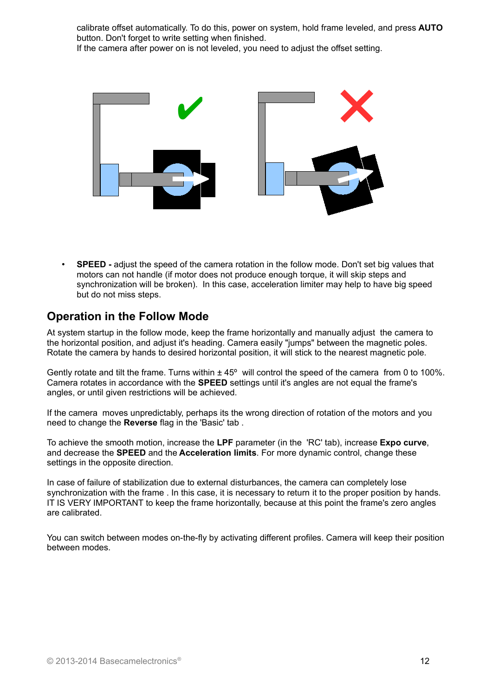calibrate offset automatically. To do this, power on system, hold frame leveled, and press **AUTO** button. Don't forget to write setting when finished. If the camera after power on is not leveled, you need to adjust the offset setting.



• **SPEED -** adjust the speed of the camera rotation in the follow mode. Don't set big values that motors can not handle (if motor does not produce enough torque, it will skip steps and synchronization will be broken). In this case, acceleration limiter may help to have big speed but do not miss steps.

### **Operation in the Follow Mode**

At system startup in the follow mode, keep the frame horizontally and manually adjust the camera to the horizontal position, and adjust it's heading. Camera easily "jumps" between the magnetic poles. Rotate the camera by hands to desired horizontal position, it will stick to the nearest magnetic pole.

Gently rotate and tilt the frame. Turns within  $\pm 45^{\circ}$  will control the speed of the camera from 0 to 100%. Camera rotates in accordance with the **SPEED** settings until it's angles are not equal the frame's angles, or until given restrictions will be achieved.

If the camera moves unpredictably, perhaps its the wrong direction of rotation of the motors and you need to change the **Reverse** flag in the 'Basic' tab .

To achieve the smooth motion, increase the **LPF** parameter (in the 'RC' tab), increase **Expo curve**, and decrease the **SPEED** and the **Acceleration limits**. For more dynamic control, change these settings in the opposite direction.

In case of failure of stabilization due to external disturbances, the camera can completely lose synchronization with the frame . In this case, it is necessary to return it to the proper position by hands. IT IS VERY IMPORTANT to keep the frame horizontally, because at this point the frame's zero angles are calibrated.

You can switch between modes on-the-fly by activating different profiles. Camera will keep their position between modes.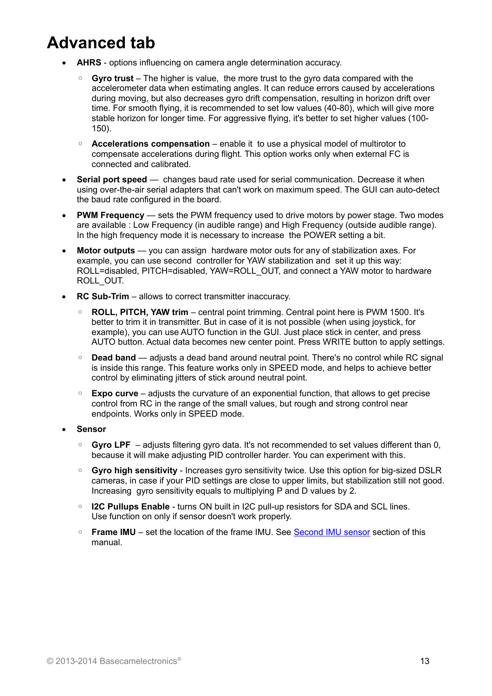# **Advanced tab**

- **AHRS** options influencing on camera angle determination accuracy.
	- **Gyro trust** The higher is value, the more trust to the gyro data compared with the accelerometer data when estimating angles. It can reduce errors caused by accelerations during moving, but also decreases gyro drift compensation, resulting in horizon drift over time. For smooth flying, it is recommended to set low values (40-80), which will give more stable horizon for longer time. For aggressive flying, it's better to set higher values (100- 150).
	- **Accelerations compensation** enable it to use a physical model of multirotor to compensate accelerations during flight. This option works only when external FC is connected and calibrated.
- **Serial port speed** changes baud rate used for serial communication. Decrease it when using over-the-air serial adapters that can't work on maximum speed. The GUI can auto-detect the baud rate configured in the board.
- **PWM Frequency** sets the PWM frequency used to drive motors by power stage. Two modes are available : Low Frequency (in audible range) and High Frequency (outside audible range). In the high frequency mode it is necessary to increase the POWER setting a bit.
- **Motor outputs** you can assign hardware motor outs for any of stabilization axes. For example, you can use second controller for YAW stabilization and set it up this way: ROLL=disabled, PITCH=disabled, YAW=ROLL\_OUT, and connect a YAW motor to hardware ROLL\_OUT.
- **RC Sub-Trim** allows to correct transmitter inaccuracy.
	- **ROLL, PITCH, YAW trim** central point trimming. Central point here is PWM 1500. It's better to trim it in transmitter. But in case of it is not possible (when using joystick, for example), you can use AUTO function in the GUI. Just place stick in center, and press AUTO button. Actual data becomes new center point. Press WRITE button to apply settings.
	- **Dead band** adjusts a dead band around neutral point. There's no control while RC signal is inside this range. This feature works only in SPEED mode, and helps to achieve better control by eliminating jitters of stick around neutral point.
	- **Expo curve** adjusts the curvature of an exponential function, that allows to get precise control from RC in the range of the small values, but rough and strong control near endpoints. Works only in SPEED mode.
- **Sensor**
	- **Gyro LPF**  adjusts filtering gyro data. It's not recommended to set values different than 0, because it will make adjusting PID controller harder. You can experiment with this.
	- **Gyro high sensitivity** Increases gyro sensitivity twice. Use this option for big-sized DSLR cameras, in case if your PID settings are close to upper limits, but stabilization still not good. Increasing gyro sensitivity equals to multiplying P and D values by 2.
	- **I2C Pullups Enable** turns ON built in I2C pull-up resistors for SDA and SCL lines. Use function on only if sensor doesn't work properly.
	- **Frame IMU** set the location of the frame IMU. See [Second IMU sensor](#page-5-0) section of this manual.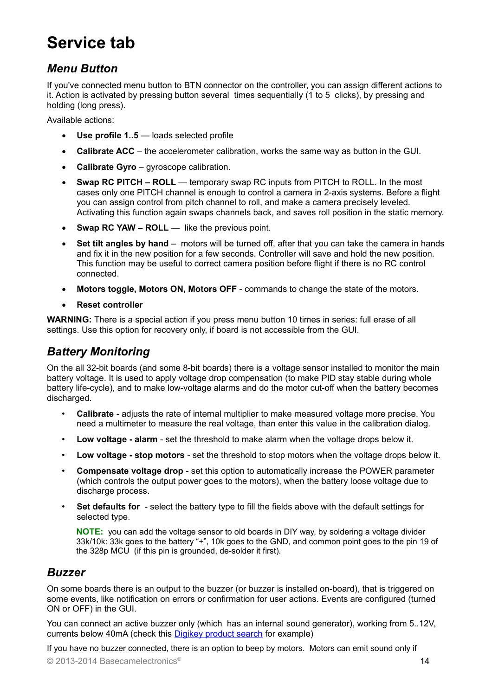# **Service tab**

### *Menu Button*

If you've connected menu button to BTN connector on the controller, you can assign different actions to it. Action is activated by pressing button several times sequentially (1 to 5 clicks), by pressing and holding (long press).

Available actions:

- **Use profile 1..5** loads selected profile
- **Calibrate ACC** the accelerometer calibration, works the same way as button in the GUI.
- **Calibrate Gyro** gyroscope calibration.
- **Swap RC PITCH ROLL** temporary swap RC inputs from PITCH to ROLL. In the most cases only one PITCH channel is enough to control a camera in 2-axis systems. Before a flight you can assign control from pitch channel to roll, and make a camera precisely leveled. Activating this function again swaps channels back, and saves roll position in the static memory.
- Swap RC YAW ROLL like the previous point.
- **Set tilt angles by hand** motors will be turned off, after that you can take the camera in hands and fix it in the new position for a few seconds. Controller will save and hold the new position. This function may be useful to correct camera position before flight if there is no RC control connected.
- **Motors toggle, Motors ON, Motors OFF** commands to change the state of the motors.
- **Reset controller**

**WARNING:** There is a special action if you press menu button 10 times in series: full erase of all settings. Use this option for recovery only, if board is not accessible from the GUI.

### *Battery Monitoring*

On the all 32-bit boards (and some 8-bit boards) there is a voltage sensor installed to monitor the main battery voltage. It is used to apply voltage drop compensation (to make PID stay stable during whole battery life-cycle), and to make low-voltage alarms and do the motor cut-off when the battery becomes discharged.

- **Calibrate -** adjusts the rate of internal multiplier to make measured voltage more precise. You need a multimeter to measure the real voltage, than enter this value in the calibration dialog.
- **Low voltage alarm** set the threshold to make alarm when the voltage drops below it.
- **Low voltage stop motors**  set the threshold to stop motors when the voltage drops below it.
- **Compensate voltage drop** set this option to automatically increase the POWER parameter (which controls the output power goes to the motors), when the battery loose voltage due to discharge process.
- **Set defaults for** select the battery type to fill the fields above with the default settings for selected type.

**NOTE:** you can add the voltage sensor to old boards in DIY way, by soldering a voltage divider 33k/10k: 33k goes to the battery "+", 10k goes to the GND, and common point goes to the pin 19 of the 328p MCU (if this pin is grounded, de-solder it first).

### *Buzzer*

On some boards there is an output to the buzzer (or buzzer is installed on-board), that is triggered on some events, like notification on errors or confirmation for user actions. Events are configured (turned ON or OFF) in the GUI.

You can connect an active buzzer only (which has an internal sound generator), working from 5..12V, currents below 40mA (check this [Digikey product search](http://www.digikey.com/product-search/en?pv14=930&pv14=124&pv14=123&FV=fff4000b,fff80047,38003f,38007b,38007c,38007e,3803a2,7040013,7040015,704001b,7040024,704002a,7040037,704003b,704003e,7040045,704005a,704005d,7040068,704006a,704007e,7040080,7040088,704008a,704008b,70400f3,70404b5,7680028,15d80006&mnonly=0&newproducts=0&ColumnSort=0&page=1&quantity=0&ptm=0&fid=0&pageSize=25) for example)

If you have no buzzer connected, there is an option to beep by motors. Motors can emit sound only if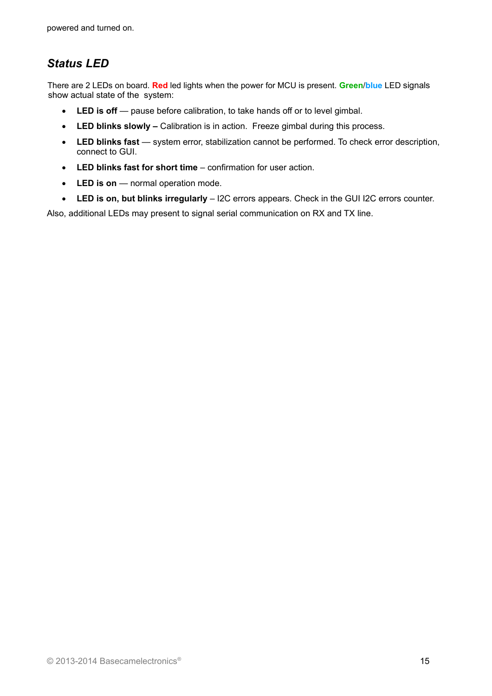## *Status LED*

There are 2 LEDs on board. **Red** led lights when the power for MCU is present. **Green**/**blue** LED signals show actual state of the system:

- LED is off pause before calibration, to take hands off or to level gimbal.
- **LED blinks slowly –** Calibration is in action. Freeze gimbal during this process.
- LED blinks fast system error, stabilization cannot be performed. To check error description, connect to GUI.
- **LED blinks fast for short time** confirmation for user action.
- LED is on normal operation mode.
- **LED is on, but blinks irregularly** I2C errors appears. Check in the GUI I2C errors counter.

Also, additional LEDs may present to signal serial communication on RX and TX line.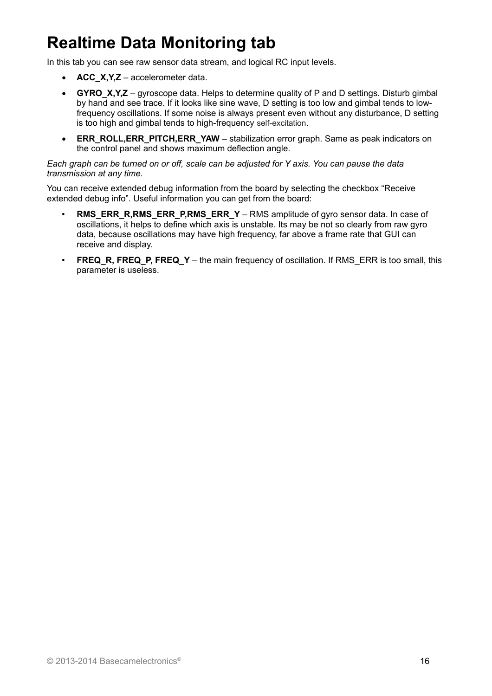# **Realtime Data Monitoring tab**

In this tab you can see raw sensor data stream, and logical RC input levels.

- **ACC\_X,Y,Z** accelerometer data.
- **GYRO X, Y, Z** gyroscope data. Helps to determine quality of P and D settings. Disturb gimbal by hand and see trace. If it looks like sine wave, D setting is too low and gimbal tends to lowfrequency oscillations. If some noise is always present even without any disturbance, D setting is too high and gimbal tends to high-frequency self-excitation.
- **ERR\_ROLL,ERR\_PITCH,ERR\_YAW** stabilization error graph. Same as peak indicators on the control panel and shows maximum deflection angle.

#### *Each graph can be turned on or off, scale can be adjusted for Y axis. You can pause the data transmission at any time.*

You can receive extended debug information from the board by selecting the checkbox "Receive extended debug info". Useful information you can get from the board:

- **RMS\_ERR\_R,RMS\_ERR\_P,RMS\_ERR\_Y** RMS amplitude of gyro sensor data. In case of oscillations, it helps to define which axis is unstable. Its may be not so clearly from raw gyro data, because oscillations may have high frequency, far above a frame rate that GUI can receive and display.
- **FREQ\_R, FREQ\_P, FREQ\_Y** the main frequency of oscillation. If RMS\_ERR is too small, this parameter is useless.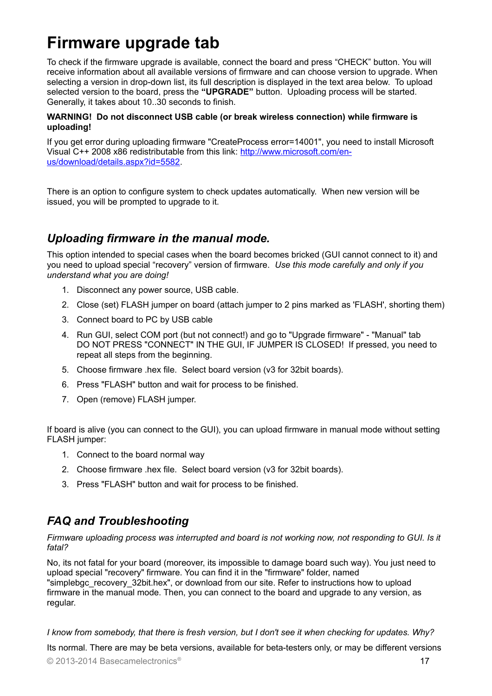## **Firmware upgrade tab**

To check if the firmware upgrade is available, connect the board and press "CHECK" button. You will receive information about all available versions of firmware and can choose version to upgrade. When selecting a version in drop-down list, its full description is displayed in the text area below. To upload selected version to the board, press the **"UPGRADE"** button. Uploading process will be started. Generally, it takes about 10..30 seconds to finish.

#### **WARNING! Do not disconnect USB cable (or break wireless connection) while firmware is uploading!**

If you get error during uploading firmware "CreateProcess error=14001", you need to install Microsoft Visual C++ 2008 x86 redistributable from this link: [http://www.microsoft.com/en](http://www.microsoft.com/en-us/download/details.aspx?id=5582)[us/download/details.aspx?id=5582.](http://www.microsoft.com/en-us/download/details.aspx?id=5582)

There is an option to configure system to check updates automatically. When new version will be issued, you will be prompted to upgrade to it.

### *Uploading firmware in the manual mode.*

This option intended to special cases when the board becomes bricked (GUI cannot connect to it) and you need to upload special "recovery" version of firmware. *Use this mode carefully and only if you understand what you are doing!*

- 1. Disconnect any power source, USB cable.
- 2. Close (set) FLASH jumper on board (attach jumper to 2 pins marked as 'FLASH', shorting them)
- 3. Connect board to PC by USB cable
- 4. Run GUI, select COM port (but not connect!) and go to "Upgrade firmware" "Manual" tab DO NOT PRESS "CONNECT" IN THE GUI, IF JUMPER IS CLOSED! If pressed, you need to repeat all steps from the beginning.
- 5. Choose firmware .hex file. Select board version (v3 for 32bit boards).
- 6. Press "FLASH" button and wait for process to be finished.
- 7. Open (remove) FLASH jumper.

If board is alive (you can connect to the GUI), you can upload firmware in manual mode without setting FLASH jumper:

- 1. Connect to the board normal way
- 2. Choose firmware .hex file. Select board version (v3 for 32bit boards).
- 3. Press "FLASH" button and wait for process to be finished.

### *FAQ and Troubleshooting*

*Firmware uploading process was interrupted and board is not working now, not responding to GUI. Is it fatal?* 

No, its not fatal for your board (moreover, its impossible to damage board such way). You just need to upload special "recovery" firmware. You can find it in the "firmware" folder, named "simplebgc\_recovery\_32bit.hex", or download from our site. Refer to instructions how to upload firmware in the manual mode. Then, you can connect to the board and upgrade to any version, as regular.

*I know from somebody, that there is fresh version, but I don't see it when checking for updates. Why?*

Its normal. There are may be beta versions, available for beta-testers only, or may be different versions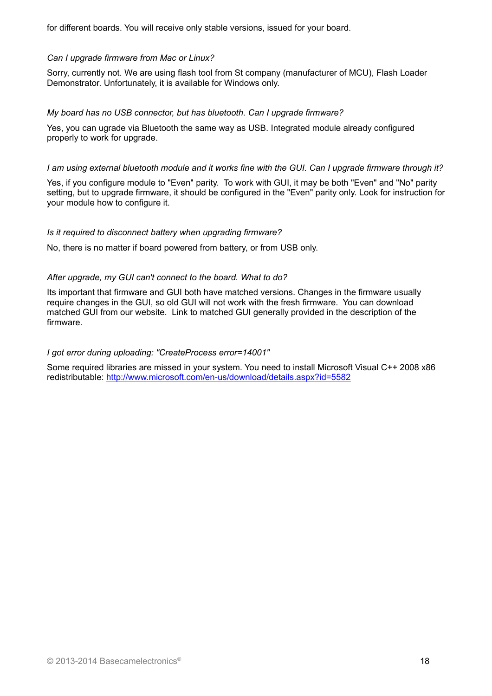for different boards. You will receive only stable versions, issued for your board.

#### *Can I upgrade firmware from Mac or Linux?*

Sorry, currently not. We are using flash tool from St company (manufacturer of MCU), Flash Loader Demonstrator. Unfortunately, it is available for Windows only.

#### *My board has no USB connector, but has bluetooth. Can I upgrade firmware?*

Yes, you can ugrade via Bluetooth the same way as USB. Integrated module already configured properly to work for upgrade.

#### *I am using external bluetooth module and it works fine with the GUI. Can I upgrade firmware through it?*

Yes, if you configure module to "Even" parity. To work with GUI, it may be both "Even" and "No" parity setting, but to upgrade firmware, it should be configured in the "Even" parity only. Look for instruction for your module how to configure it.

#### *Is it required to disconnect battery when upgrading firmware?*

No, there is no matter if board powered from battery, or from USB only.

#### *After upgrade, my GUI can't connect to the board. What to do?*

Its important that firmware and GUI both have matched versions. Changes in the firmware usually require changes in the GUI, so old GUI will not work with the fresh firmware. You can download matched GUI from our website. Link to matched GUI generally provided in the description of the firmware.

#### *I got error during uploading: "CreateProcess error=14001"*

Some required libraries are missed in your system. You need to install Microsoft Visual C++ 2008 x86 redistributable:<http://www.microsoft.com/en-us/download/details.aspx?id=5582>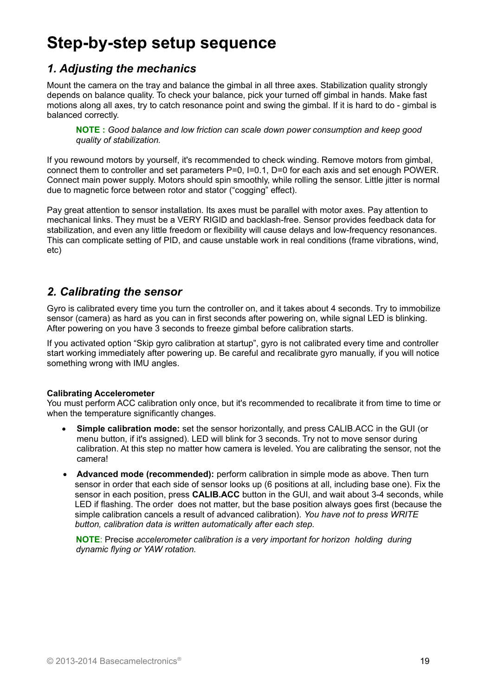# **Step-by-step setup sequence**

### *1. Adjusting the mechanics*

Mount the camera on the tray and balance the gimbal in all three axes. Stabilization quality strongly depends on balance quality. To check your balance, pick your turned off gimbal in hands. Make fast motions along all axes, try to catch resonance point and swing the gimbal. If it is hard to do - gimbal is balanced correctly.

**NOTE :** *Good balance and low friction can scale down power consumption and keep good quality of stabilization.*

If you rewound motors by yourself, it's recommended to check winding. Remove motors from gimbal, connect them to controller and set parameters P=0, I=0.1, D=0 for each axis and set enough POWER. Connect main power supply. Motors should spin smoothly, while rolling the sensor. Little jitter is normal due to magnetic force between rotor and stator ("cogging" effect).

Pay great attention to sensor installation. Its axes must be parallel with motor axes. Pay attention to mechanical links. They must be a VERY RIGID and backlash-free. Sensor provides feedback data for stabilization, and even any little freedom or flexibility will cause delays and low-frequency resonances. This can complicate setting of PID, and cause unstable work in real conditions (frame vibrations, wind, etc)

### *2. Calibrating the sensor*

Gyro is calibrated every time you turn the controller on, and it takes about 4 seconds. Try to immobilize sensor (camera) as hard as you can in first seconds after powering on, while signal LED is blinking. After powering on you have 3 seconds to freeze gimbal before calibration starts.

If you activated option "Skip gyro calibration at startup", gyro is not calibrated every time and controller start working immediately after powering up. Be careful and recalibrate gyro manually, if you will notice something wrong with IMU angles.

#### **Calibrating Accelerometer**

You must perform ACC calibration only once, but it's recommended to recalibrate it from time to time or when the temperature significantly changes.

- **Simple calibration mode:** set the sensor horizontally, and press CALIB.ACC in the GUI (or menu button, if it's assigned). LED will blink for 3 seconds. Try not to move sensor during calibration. At this step no matter how camera is leveled. You are calibrating the sensor, not the camera!
- **Advanced mode (recommended):** perform calibration in simple mode as above. Then turn sensor in order that each side of sensor looks up (6 positions at all, including base one). Fix the sensor in each position, press **CALIB.ACC** button in the GUI, and wait about 3-4 seconds, while LED if flashing. The order does not matter, but the base position always goes first (because the simple calibration cancels a result of advanced calibration). *You have not to press WRITE button, calibration data is written automatically after each step.*

**NOTE**: Precise *accelerometer calibration is a very important for horizon holding during dynamic flying or YAW rotation.*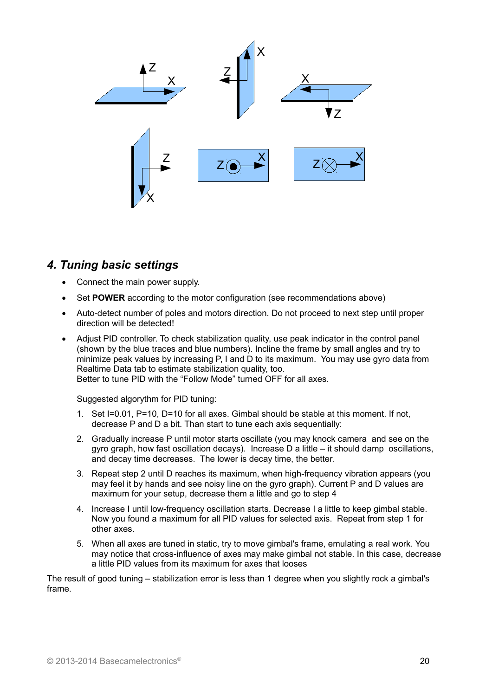

### *4. Tuning basic settings*

- Connect the main power supply.
- Set **POWER** according to the motor configuration (see recommendations above)
- Auto-detect number of poles and motors direction. Do not proceed to next step until proper direction will be detected!
- Adjust PID controller. To check stabilization quality, use peak indicator in the control panel (shown by the blue traces and blue numbers). Incline the frame by small angles and try to minimize peak values by increasing P, I and D to its maximum. You may use gyro data from Realtime Data tab to estimate stabilization quality, too. Better to tune PID with the "Follow Mode" turned OFF for all axes.

Suggested algorythm for PID tuning:

- 1. Set I=0.01, P=10, D=10 for all axes. Gimbal should be stable at this moment. If not, decrease P and D a bit. Than start to tune each axis sequentially:
- 2. Gradually increase P until motor starts oscillate (you may knock camera and see on the gyro graph, how fast oscillation decays). Increase D a little – it should damp oscillations, and decay time decreases. The lower is decay time, the better.
- 3. Repeat step 2 until D reaches its maximum, when high-frequency vibration appears (you may feel it by hands and see noisy line on the gyro graph). Current P and D values are maximum for your setup, decrease them a little and go to step 4
- 4. Increase I until low-frequency oscillation starts. Decrease I a little to keep gimbal stable. Now you found a maximum for all PID values for selected axis. Repeat from step 1 for other axes.
- 5. When all axes are tuned in static, try to move gimbal's frame, emulating a real work. You may notice that cross-influence of axes may make gimbal not stable. In this case, decrease a little PID values from its maximum for axes that looses

The result of good tuning – stabilization error is less than 1 degree when you slightly rock a gimbal's frame.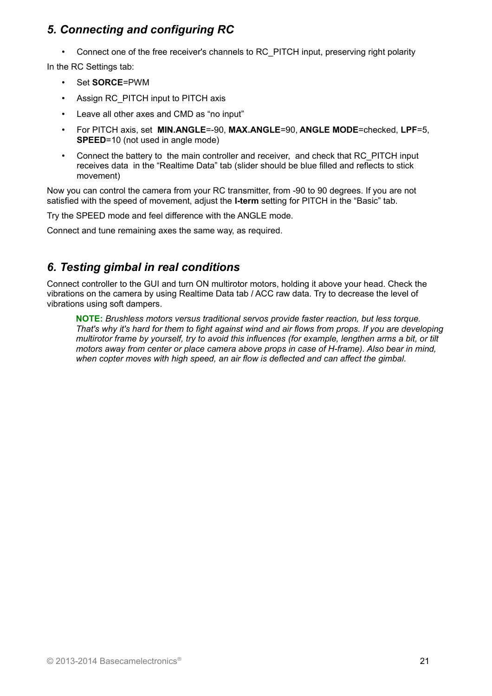### *5. Connecting and configuring RC*

• Connect one of the free receiver's channels to RC\_PITCH input, preserving right polarity

In the RC Settings tab:

- Set **SORCE**=PWM
- Assign RC\_PITCH input to PITCH axis
- Leave all other axes and CMD as "no input"
- For PITCH axis, set **MIN.ANGLE**=-90, **MAX.ANGLE**=90, **ANGLE MODE**=checked, **LPF**=5, **SPEED**=10 (not used in angle mode)
- Connect the battery to the main controller and receiver, and check that RC\_PITCH input receives data in the "Realtime Data" tab (slider should be blue filled and reflects to stick movement)

Now you can control the camera from your RC transmitter, from -90 to 90 degrees. If you are not satisfied with the speed of movement, adjust the **I-term** setting for PITCH in the "Basic" tab.

Try the SPEED mode and feel difference with the ANGLE mode.

Connect and tune remaining axes the same way, as required.

### *6. Testing gimbal in real conditions*

Connect controller to the GUI and turn ON multirotor motors, holding it above your head. Check the vibrations on the camera by using Realtime Data tab / ACC raw data. Try to decrease the level of vibrations using soft dampers.

**NOTE:** *Brushless motors versus traditional servos provide faster reaction, but less torque. That's why it's hard for them to fight against wind and air flows from props. If you are developing multirotor frame by yourself, try to avoid this influences (for example, lengthen arms a bit, or tilt motors away from center or place camera above props in case of H-frame). Also bear in mind, when copter moves with high speed, an air flow is deflected and can affect the gimbal.*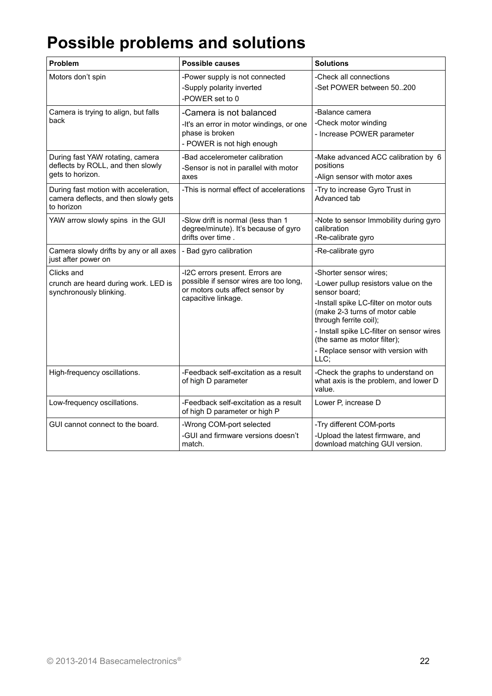# **Possible problems and solutions**

| Problem                                                                                      | <b>Possible causes</b>                                                                                                              | <b>Solutions</b>                                                                                                                                                                                                                                                                                                |  |
|----------------------------------------------------------------------------------------------|-------------------------------------------------------------------------------------------------------------------------------------|-----------------------------------------------------------------------------------------------------------------------------------------------------------------------------------------------------------------------------------------------------------------------------------------------------------------|--|
| Motors don't spin                                                                            | -Power supply is not connected<br>-Supply polarity inverted<br>-POWER set to 0                                                      | -Check all connections<br>-Set POWER between 50200                                                                                                                                                                                                                                                              |  |
| Camera is trying to align, but falls<br>back                                                 | -Camera is not balanced<br>-It's an error in motor windings, or one<br>phase is broken<br>- POWER is not high enough                | -Balance camera<br>-Check motor winding<br>- Increase POWER parameter                                                                                                                                                                                                                                           |  |
| During fast YAW rotating, camera<br>deflects by ROLL, and then slowly<br>gets to horizon.    | -Bad accelerometer calibration<br>-Sensor is not in parallel with motor<br>axes                                                     | -Make advanced ACC calibration by 6<br>positions<br>-Align sensor with motor axes                                                                                                                                                                                                                               |  |
| During fast motion with acceleration,<br>camera deflects, and then slowly gets<br>to horizon | -This is normal effect of accelerations                                                                                             | -Try to increase Gyro Trust in<br>Advanced tab                                                                                                                                                                                                                                                                  |  |
| YAW arrow slowly spins in the GUI                                                            | -Slow drift is normal (less than 1<br>degree/minute). It's because of gyro<br>drifts over time.                                     | -Note to sensor Immobility during gyro<br>calibration<br>-Re-calibrate gyro                                                                                                                                                                                                                                     |  |
| Camera slowly drifts by any or all axes<br>just after power on                               | - Bad gyro calibration                                                                                                              | -Re-calibrate gyro                                                                                                                                                                                                                                                                                              |  |
| Clicks and<br>crunch are heard during work. LED is<br>synchronously blinking.                | -I2C errors present. Errors are<br>possible if sensor wires are too long,<br>or motors outs affect sensor by<br>capacitive linkage. | -Shorter sensor wires;<br>-Lower pullup resistors value on the<br>sensor board;<br>-Install spike LC-filter on motor outs<br>(make 2-3 turns of motor cable<br>through ferrite coil);<br>- Install spike LC-filter on sensor wires<br>(the same as motor filter);<br>- Replace sensor with version with<br>LLC; |  |
| High-frequency oscillations.                                                                 | -Feedback self-excitation as a result<br>of high D parameter                                                                        | -Check the graphs to understand on<br>what axis is the problem, and lower D<br>value.                                                                                                                                                                                                                           |  |
| Low-frequency oscillations.                                                                  | -Feedback self-excitation as a result<br>of high D parameter or high P                                                              | Lower P, increase D                                                                                                                                                                                                                                                                                             |  |
| GUI cannot connect to the board.                                                             | -Wrong COM-port selected<br>-GUI and firmware versions doesn't<br>match.                                                            | -Try different COM-ports<br>-Upload the latest firmware, and<br>download matching GUI version.                                                                                                                                                                                                                  |  |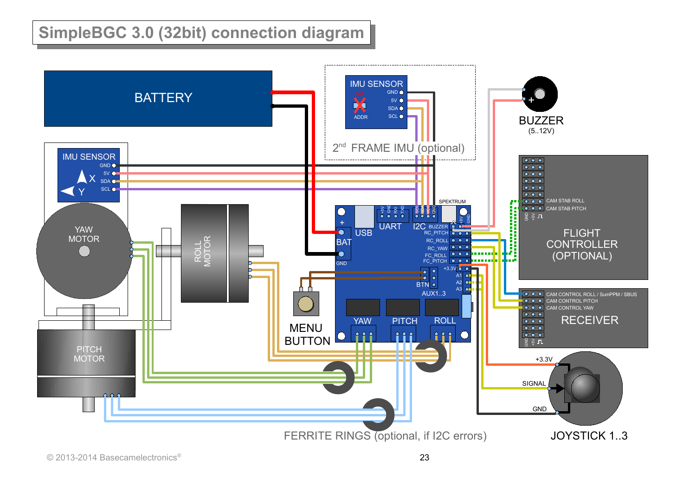# **SimpleBGC 3.0 (32bit) connection diagram**

<span id="page-22-0"></span>